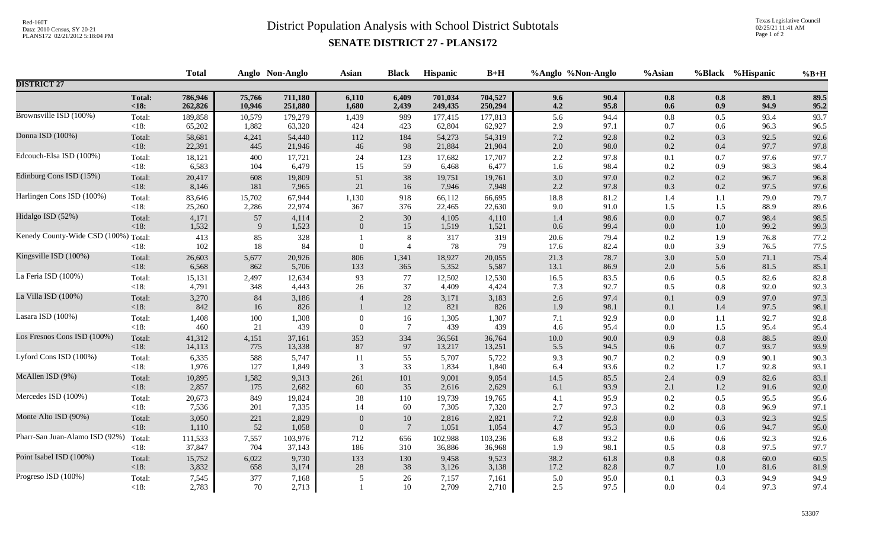## Red-160T<br>District Population Analysis with School District Subtotals

Texas Legislative Council 02/25/21 11:41 AM Page 1 of 2

## **SENATE DISTRICT 27 - PLANS172**

|                                      |                   |                |              | Anglo Non-Anglo |                  | <b>Black</b>              | Hispanic       | $B+H$          | %Anglo %Non-Anglo |              | %Asian         |            | %Black %Hispanic | $%B+H$       |
|--------------------------------------|-------------------|----------------|--------------|-----------------|------------------|---------------------------|----------------|----------------|-------------------|--------------|----------------|------------|------------------|--------------|
| <b>DISTRICT 27</b>                   |                   |                |              |                 |                  |                           |                |                |                   |              |                |            |                  |              |
|                                      | <b>Total:</b>     | 786,946        | 75,766       | 711,180         | 6,110            | 6,409                     | 701,034        | 704,527        | 9.6               | 90.4         | $0.8\,$        | 0.8        | 89.1             | 89.5         |
|                                      | $18:$             | 262,826        | 10,946       | 251,880         | 1,680            | 2,439                     | 249,435        | 250,294        | 4.2               | 95.8         | 0.6            | 0.9        | 94.9             | 95.2         |
| Brownsville ISD (100%)               | Total:            | 189,858        | 10,579       | 179,279         | 1,439            | 989                       | 177,415        | 177,813        | 5.6               | 94.4         | $0.8\,$        | 0.5        | 93.4             | 93.7         |
|                                      | <18:              | 65,202         | 1,882        | 63,320          | 424              | 423                       | 62,804         | 62,927         | 2.9               | 97.1         | 0.7            | 0.6        | 96.3             | 96.5         |
| Donna ISD (100%)                     | Total:            | 58,681         | 4,241        | 54,440          | 112              | 184                       | 54,273         | 54,319         | $7.2\,$           | 92.8         | $0.2\,$        | 0.3        | 92.5             | 92.6         |
|                                      | $<18$ :           | 22,391         | 445          | 21,946          | $46\,$           | 98                        | 21,884         | 21,904         | 2.0               | 98.0         | $0.2\,$        | $0.4\,$    | 97.7             | 97.8         |
| Edcouch-Elsa ISD (100%)              | Total:            | 18,121         | 400          | 17,721          | 24               | 123                       | 17,682         | 17,707         | 2.2               | 97.8         | 0.1            | 0.7        | 97.6             | 97.7         |
|                                      | < 18:             | 6,583          | 104          | 6,479           | 15               | 59                        | 6,468          | 6,477          | 1.6               | 98.4         | 0.2            | 0.9        | 98.3             | 98.4         |
| Edinburg Cons ISD (15%)              | Total:            | 20,417         | 608          | 19,809          | $51\,$           | 38                        | 19,751         | 19,761         | 3.0               | 97.0         | $0.2\,$        | $0.2\,$    | 96.7             | 96.8         |
|                                      | <18:              | 8,146          | 181          | 7,965           | $21\,$           | 16                        | 7,946          | 7,948          | 2.2               | 97.8         | 0.3            | $0.2\,$    | 97.5             | 97.6         |
| Harlingen Cons ISD (100%)            | Total:            | 83,646         | 15,702       | 67,944          | 1,130            | 918                       | 66,112         | 66,695         | 18.8              | 81.2         | 1.4            | 1.1        | 79.0             | 79.7         |
|                                      | <18:              | 25,260         | 2,286        | 22,974          | 367              | 376                       | 22,465         | 22,630         | 9.0               | 91.0         | 1.5            | 1.5        | 88.9             | 89.6         |
| Hidalgo ISD (52%)                    | Total:            | 4,171          | 57           | 4,114           | 2                | $30\,$                    | 4,105          | 4,110          | 1.4               | 98.6         | $0.0\,$        | $0.7\,$    | 98.4             | 98.5         |
|                                      | $<18$ :           | 1,532          | 9            | 1,523           | $\boldsymbol{0}$ | 15                        | 1,519          | 1,521          | 0.6               | 99.4         | $0.0\,$        | $1.0\,$    | 99.2             | 99.3         |
| Kenedy County-Wide CSD (100%) Total: | < 18:             | 413<br>102     | 85<br>$18\,$ | 328<br>84       | $\theta$         | $\,8\,$<br>$\overline{4}$ | 317<br>78      | 319<br>79      | 20.6<br>17.6      | 79.4<br>82.4 | $0.2\,$<br>0.0 | 1.9<br>3.9 | 76.8<br>76.5     | 77.2<br>77.5 |
| Kingsville ISD (100%)                | Total:            | 26,603         | 5,677        | 20,926          | 806              | 1,341                     | 18,927         | 20,055         | 21.3              | 78.7         | $3.0\,$        | 5.0        | 71.1             | 75.4         |
|                                      | <18:              | 6,568          | 862          | 5,706           | 133              | 365                       | 5,352          | 5,587          | 13.1              | 86.9         | 2.0            | 5.6        | 81.5             | 85.1         |
| La Feria ISD (100%)                  | Total:            | 15,131         | 2,497        | 12,634          | 93               | 77                        | 12,502         | 12,530         | 16.5              | 83.5         | 0.6            | 0.5        | 82.6             | 82.8         |
|                                      | $<18$ :           | 4,791          | 348          | 4,443           | 26               | 37                        | 4,409          | 4,424          | 7.3               | 92.7         | 0.5            | 0.8        | 92.0             | 92.3         |
| La Villa ISD (100%)                  | Total:<br><18:    | 3,270<br>842   | 84<br>16     | 3,186<br>826    | $\overline{4}$   | $28\,$<br>12              | 3,171<br>821   | 3,183<br>826   | $2.6\,$<br>1.9    | 97.4<br>98.1 | 0.1<br>0.1     | 0.9<br>1.4 | 97.0<br>97.5     | 97.3<br>98.1 |
| Lasara ISD (100%)                    | Total:            | 1,408          | 100          | 1,308           | $\Omega$         | 16                        | 1,305          | 1,307          | 7.1               | 92.9         | $0.0\,$        | 1.1        | 92.7             | 92.8         |
|                                      | $<18$ :           | 460            | 21           | 439             | $\theta$         | $\overline{7}$            | 439            | 439            | 4.6               | 95.4         | $0.0\,$        | 1.5        | 95.4             | 95.4         |
| Los Fresnos Cons ISD (100%)          | Total:            | 41,312         | 4,151        | 37,161          | 353              | 334                       | 36,561         | 36,764         | $10.0\,$          | 90.0         | $0.9\,$        | $0.8\,$    | 88.5             | 89.0         |
|                                      | <18:              | 14,113         | 775          | 13,338          | 87               | 97                        | 13,217         | 13,251         | 5.5               | 94.5         | 0.6            | 0.7        | 93.7             | 93.9         |
| Lyford Cons ISD (100%)               | Total:            | 6,335          | 588          | 5,747           | 11               | 55                        | 5,707          | 5,722          | 9.3               | 90.7         | 0.2            | 0.9        | 90.1             | 90.3         |
|                                      | <18:              | 1,976          | 127          | 1,849           | 3                | 33                        | 1,834          | 1,840          | 6.4               | 93.6         | 0.2            | 1.7        | 92.8             | 93.1         |
| McAllen ISD (9%)                     | Total:            | 10,895         | 1,582        | 9,313           | 261              | 101                       | 9,001          | 9,054          | 14.5              | 85.5         | $2.4\,$        | 0.9        | 82.6             | 83.1         |
|                                      | <18:              | 2,857          | 175          | 2,682           | $60\,$           | 35                        | 2,616          | 2,629          | 6.1               | 93.9         | 2.1            | $1.2\,$    | 91.6             | 92.0         |
| Mercedes ISD (100%)                  | Total:            | 20,673         | 849          | 19,824          | 38               | 110                       | 19,739         | 19,765         | 4.1               | 95.9         | 0.2            | 0.5        | 95.5             | 95.6         |
|                                      | <18:              | 7,536          | 201          | 7,335           | 14               | 60                        | 7,305          | 7,320          | 2.7               | 97.3         | 0.2            | $0.8\,$    | 96.9             | 97.1         |
| Monte Alto ISD (90%)                 | Total:            | 3,050          | 221          | 2,829           | $\Omega$         | 10                        | 2,816          | 2,821          | 7.2               | 92.8         | 0.0            | 0.3        | 92.3             | 92.5         |
|                                      | <18:              | 1,110          | 52           | 1,058           | $\overline{0}$   | $7\phantom{.0}$           | 1,051          | 1,054          | 4.7               | 95.3         | $0.0\,$        | 0.6        | 94.7             | 95.0         |
| Pharr-San Juan-Alamo ISD (92%)       | Total:            | 111,533        | 7,557        | 103,976         | 712              | 656                       | 102,988        | 103,236        | 6.8               | 93.2         | $0.6\,$        | 0.6        | 92.3             | 92.6         |
|                                      | $<18$ :           | 37,847         | 704          | 37,143          | 186              | 310                       | 36,886         | 36,968         | 1.9               | 98.1         | 0.5            | 0.8        | 97.5             | 97.7         |
| Point Isabel ISD (100%)              | Total:            | 15,752         | 6,022        | 9,730           | 133              | 130                       | 9,458          | 9,523          | 38.2              | 61.8         | $0.8\,$        | $0.8\,$    | 60.0             | 60.5         |
|                                      | <18:              | 3,832          | 658          | 3,174           | 28               | 38                        | 3,126          | 3,138          | 17.2              | 82.8         | $0.7\,$        | $1.0\,$    | 81.6             | 81.9         |
| Progreso ISD (100%)                  | Total:<br>$<18$ : | 7,545<br>2,783 | 377<br>70    | 7,168<br>2,713  | 5                | $26\,$<br>$10\,$          | 7,157<br>2,709 | 7,161<br>2,710 | 5.0<br>2.5        | 95.0<br>97.5 | 0.1<br>$0.0\,$ | 0.3<br>0.4 | 94.9<br>97.3     | 94.9<br>97.4 |